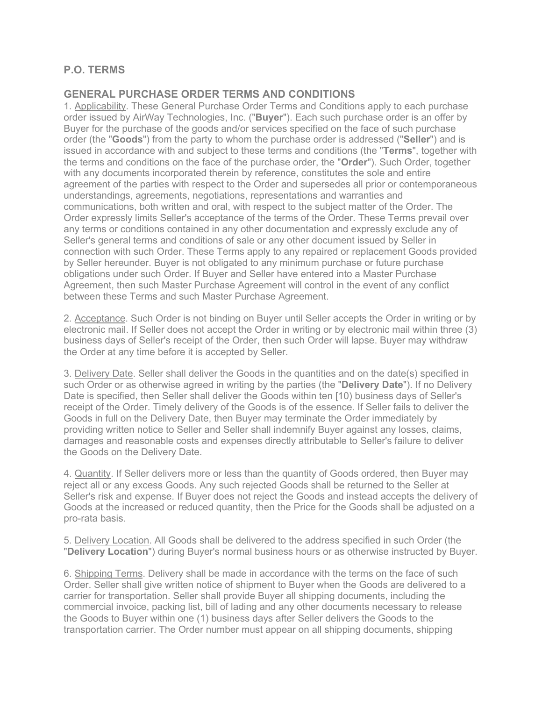## **P.O. TERMS**

## **GENERAL PURCHASE ORDER TERMS AND CONDITIONS**

1. Applicability. These General Purchase Order Terms and Conditions apply to each purchase order issued by AirWay Technologies, Inc. ("**Buyer**"). Each such purchase order is an offer by Buyer for the purchase of the goods and/or services specified on the face of such purchase order (the "**Goods**") from the party to whom the purchase order is addressed ("**Seller**") and is issued in accordance with and subject to these terms and conditions (the "**Terms**", together with the terms and conditions on the face of the purchase order, the "**Order**"). Such Order, together with any documents incorporated therein by reference, constitutes the sole and entire agreement of the parties with respect to the Order and supersedes all prior or contemporaneous understandings, agreements, negotiations, representations and warranties and communications, both written and oral, with respect to the subject matter of the Order. The Order expressly limits Seller's acceptance of the terms of the Order. These Terms prevail over any terms or conditions contained in any other documentation and expressly exclude any of Seller's general terms and conditions of sale or any other document issued by Seller in connection with such Order. These Terms apply to any repaired or replacement Goods provided by Seller hereunder. Buyer is not obligated to any minimum purchase or future purchase obligations under such Order. If Buyer and Seller have entered into a Master Purchase Agreement, then such Master Purchase Agreement will control in the event of any conflict between these Terms and such Master Purchase Agreement.

2. Acceptance. Such Order is not binding on Buyer until Seller accepts the Order in writing or by electronic mail. If Seller does not accept the Order in writing or by electronic mail within three (3) business days of Seller's receipt of the Order, then such Order will lapse. Buyer may withdraw the Order at any time before it is accepted by Seller.

3. Delivery Date. Seller shall deliver the Goods in the quantities and on the date(s) specified in such Order or as otherwise agreed in writing by the parties (the "**Delivery Date**"). If no Delivery Date is specified, then Seller shall deliver the Goods within ten [10) business days of Seller's receipt of the Order. Timely delivery of the Goods is of the essence. If Seller fails to deliver the Goods in full on the Delivery Date, then Buyer may terminate the Order immediately by providing written notice to Seller and Seller shall indemnify Buyer against any losses, claims, damages and reasonable costs and expenses directly attributable to Seller's failure to deliver the Goods on the Delivery Date.

4. Quantity. If Seller delivers more or less than the quantity of Goods ordered, then Buyer may reject all or any excess Goods. Any such rejected Goods shall be returned to the Seller at Seller's risk and expense. If Buyer does not reject the Goods and instead accepts the delivery of Goods at the increased or reduced quantity, then the Price for the Goods shall be adjusted on a pro-rata basis.

5. Delivery Location. All Goods shall be delivered to the address specified in such Order (the "**Delivery Location**") during Buyer's normal business hours or as otherwise instructed by Buyer.

6. Shipping Terms. Delivery shall be made in accordance with the terms on the face of such Order. Seller shall give written notice of shipment to Buyer when the Goods are delivered to a carrier for transportation. Seller shall provide Buyer all shipping documents, including the commercial invoice, packing list, bill of lading and any other documents necessary to release the Goods to Buyer within one (1) business days after Seller delivers the Goods to the transportation carrier. The Order number must appear on all shipping documents, shipping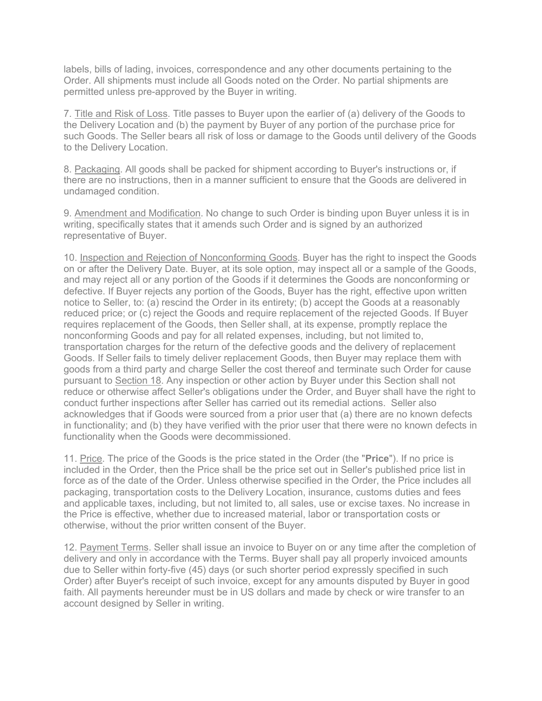labels, bills of lading, invoices, correspondence and any other documents pertaining to the Order. All shipments must include all Goods noted on the Order. No partial shipments are permitted unless pre-approved by the Buyer in writing.

7. Title and Risk of Loss. Title passes to Buyer upon the earlier of (a) delivery of the Goods to the Delivery Location and (b) the payment by Buyer of any portion of the purchase price for such Goods. The Seller bears all risk of loss or damage to the Goods until delivery of the Goods to the Delivery Location.

8. Packaging. All goods shall be packed for shipment according to Buyer's instructions or, if there are no instructions, then in a manner sufficient to ensure that the Goods are delivered in undamaged condition.

9. Amendment and Modification. No change to such Order is binding upon Buyer unless it is in writing, specifically states that it amends such Order and is signed by an authorized representative of Buyer.

10. Inspection and Rejection of Nonconforming Goods. Buyer has the right to inspect the Goods on or after the Delivery Date. Buyer, at its sole option, may inspect all or a sample of the Goods, and may reject all or any portion of the Goods if it determines the Goods are nonconforming or defective. If Buyer rejects any portion of the Goods, Buyer has the right, effective upon written notice to Seller, to: (a) rescind the Order in its entirety; (b) accept the Goods at a reasonably reduced price; or (c) reject the Goods and require replacement of the rejected Goods. If Buyer requires replacement of the Goods, then Seller shall, at its expense, promptly replace the nonconforming Goods and pay for all related expenses, including, but not limited to, transportation charges for the return of the defective goods and the delivery of replacement Goods. If Seller fails to timely deliver replacement Goods, then Buyer may replace them with goods from a third party and charge Seller the cost thereof and terminate such Order for cause pursuant to Section 18. Any inspection or other action by Buyer under this Section shall not reduce or otherwise affect Seller's obligations under the Order, and Buyer shall have the right to conduct further inspections after Seller has carried out its remedial actions. Seller also acknowledges that if Goods were sourced from a prior user that (a) there are no known defects in functionality; and (b) they have verified with the prior user that there were no known defects in functionality when the Goods were decommissioned.

11. Price. The price of the Goods is the price stated in the Order (the "**Price**"). If no price is included in the Order, then the Price shall be the price set out in Seller's published price list in force as of the date of the Order. Unless otherwise specified in the Order, the Price includes all packaging, transportation costs to the Delivery Location, insurance, customs duties and fees and applicable taxes, including, but not limited to, all sales, use or excise taxes. No increase in the Price is effective, whether due to increased material, labor or transportation costs or otherwise, without the prior written consent of the Buyer.

12. Payment Terms. Seller shall issue an invoice to Buyer on or any time after the completion of delivery and only in accordance with the Terms. Buyer shall pay all properly invoiced amounts due to Seller within forty-five (45) days (or such shorter period expressly specified in such Order) after Buyer's receipt of such invoice, except for any amounts disputed by Buyer in good faith. All payments hereunder must be in US dollars and made by check or wire transfer to an account designed by Seller in writing.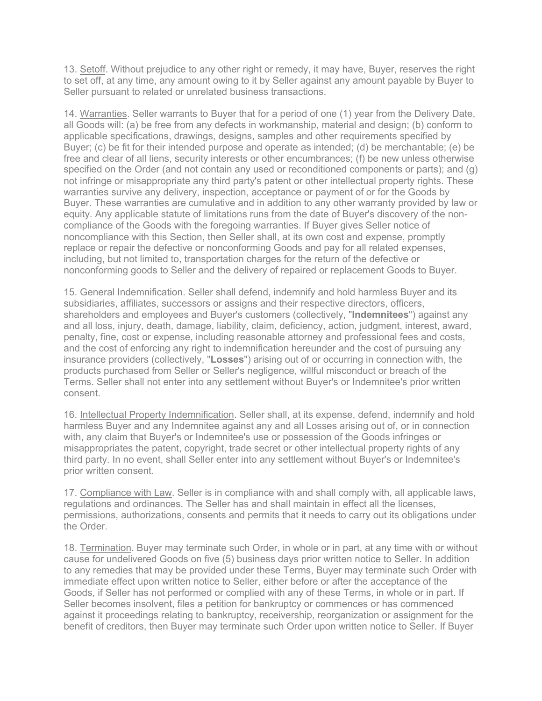13. Setoff. Without prejudice to any other right or remedy, it may have, Buyer, reserves the right to set off, at any time, any amount owing to it by Seller against any amount payable by Buyer to Seller pursuant to related or unrelated business transactions.

14. Warranties. Seller warrants to Buyer that for a period of one (1) year from the Delivery Date, all Goods will: (a) be free from any defects in workmanship, material and design; (b) conform to applicable specifications, drawings, designs, samples and other requirements specified by Buyer; (c) be fit for their intended purpose and operate as intended; (d) be merchantable; (e) be free and clear of all liens, security interests or other encumbrances; (f) be new unless otherwise specified on the Order (and not contain any used or reconditioned components or parts); and (g) not infringe or misappropriate any third party's patent or other intellectual property rights. These warranties survive any delivery, inspection, acceptance or payment of or for the Goods by Buyer. These warranties are cumulative and in addition to any other warranty provided by law or equity. Any applicable statute of limitations runs from the date of Buyer's discovery of the noncompliance of the Goods with the foregoing warranties. If Buyer gives Seller notice of noncompliance with this Section, then Seller shall, at its own cost and expense, promptly replace or repair the defective or nonconforming Goods and pay for all related expenses, including, but not limited to, transportation charges for the return of the defective or nonconforming goods to Seller and the delivery of repaired or replacement Goods to Buyer.

15. General Indemnification. Seller shall defend, indemnify and hold harmless Buyer and its subsidiaries, affiliates, successors or assigns and their respective directors, officers, shareholders and employees and Buyer's customers (collectively, "**Indemnitees**") against any and all loss, injury, death, damage, liability, claim, deficiency, action, judgment, interest, award, penalty, fine, cost or expense, including reasonable attorney and professional fees and costs, and the cost of enforcing any right to indemnification hereunder and the cost of pursuing any insurance providers (collectively, "**Losses**") arising out of or occurring in connection with, the products purchased from Seller or Seller's negligence, willful misconduct or breach of the Terms. Seller shall not enter into any settlement without Buyer's or Indemnitee's prior written consent.

16. Intellectual Property Indemnification. Seller shall, at its expense, defend, indemnify and hold harmless Buyer and any Indemnitee against any and all Losses arising out of, or in connection with, any claim that Buyer's or Indemnitee's use or possession of the Goods infringes or misappropriates the patent, copyright, trade secret or other intellectual property rights of any third party. In no event, shall Seller enter into any settlement without Buyer's or Indemnitee's prior written consent.

17. Compliance with Law. Seller is in compliance with and shall comply with, all applicable laws, regulations and ordinances. The Seller has and shall maintain in effect all the licenses, permissions, authorizations, consents and permits that it needs to carry out its obligations under the Order.

18. Termination. Buyer may terminate such Order, in whole or in part, at any time with or without cause for undelivered Goods on five (5) business days prior written notice to Seller. In addition to any remedies that may be provided under these Terms, Buyer may terminate such Order with immediate effect upon written notice to Seller, either before or after the acceptance of the Goods, if Seller has not performed or complied with any of these Terms, in whole or in part. If Seller becomes insolvent, files a petition for bankruptcy or commences or has commenced against it proceedings relating to bankruptcy, receivership, reorganization or assignment for the benefit of creditors, then Buyer may terminate such Order upon written notice to Seller. If Buyer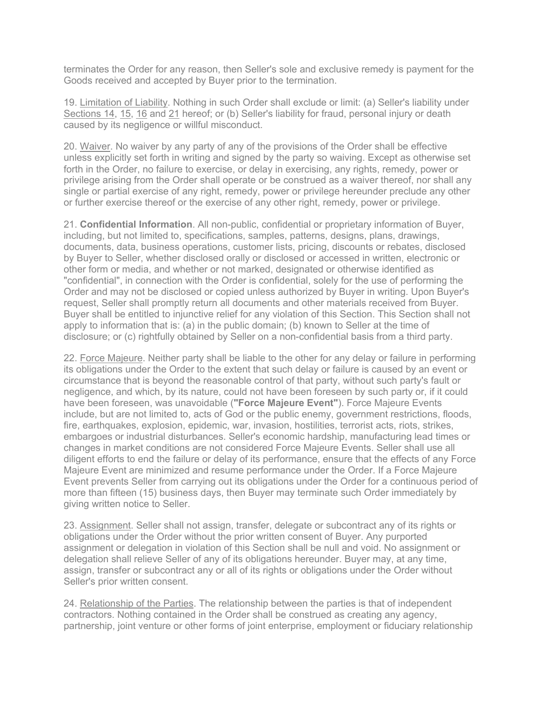terminates the Order for any reason, then Seller's sole and exclusive remedy is payment for the Goods received and accepted by Buyer prior to the termination.

19. Limitation of Liability. Nothing in such Order shall exclude or limit: (a) Seller's liability under Sections 14, 15, 16 and 21 hereof; or (b) Seller's liability for fraud, personal injury or death caused by its negligence or willful misconduct.

20. Waiver. No waiver by any party of any of the provisions of the Order shall be effective unless explicitly set forth in writing and signed by the party so waiving. Except as otherwise set forth in the Order, no failure to exercise, or delay in exercising, any rights, remedy, power or privilege arising from the Order shall operate or be construed as a waiver thereof, nor shall any single or partial exercise of any right, remedy, power or privilege hereunder preclude any other or further exercise thereof or the exercise of any other right, remedy, power or privilege.

21. **Confidential Information**. All non-public, confidential or proprietary information of Buyer, including, but not limited to, specifications, samples, patterns, designs, plans, drawings, documents, data, business operations, customer lists, pricing, discounts or rebates, disclosed by Buyer to Seller, whether disclosed orally or disclosed or accessed in written, electronic or other form or media, and whether or not marked, designated or otherwise identified as "confidential", in connection with the Order is confidential, solely for the use of performing the Order and may not be disclosed or copied unless authorized by Buyer in writing. Upon Buyer's request, Seller shall promptly return all documents and other materials received from Buyer. Buyer shall be entitled to injunctive relief for any violation of this Section. This Section shall not apply to information that is: (a) in the public domain; (b) known to Seller at the time of disclosure; or (c) rightfully obtained by Seller on a non-confidential basis from a third party.

22. Force Majeure. Neither party shall be liable to the other for any delay or failure in performing its obligations under the Order to the extent that such delay or failure is caused by an event or circumstance that is beyond the reasonable control of that party, without such party's fault or negligence, and which, by its nature, could not have been foreseen by such party or, if it could have been foreseen, was unavoidable (**"Force Majeure Event"**). Force Majeure Events include, but are not limited to, acts of God or the public enemy, government restrictions, floods, fire, earthquakes, explosion, epidemic, war, invasion, hostilities, terrorist acts, riots, strikes, embargoes or industrial disturbances. Seller's economic hardship, manufacturing lead times or changes in market conditions are not considered Force Majeure Events. Seller shall use all diligent efforts to end the failure or delay of its performance, ensure that the effects of any Force Majeure Event are minimized and resume performance under the Order. If a Force Majeure Event prevents Seller from carrying out its obligations under the Order for a continuous period of more than fifteen (15) business days, then Buyer may terminate such Order immediately by giving written notice to Seller.

23. Assignment. Seller shall not assign, transfer, delegate or subcontract any of its rights or obligations under the Order without the prior written consent of Buyer. Any purported assignment or delegation in violation of this Section shall be null and void. No assignment or delegation shall relieve Seller of any of its obligations hereunder. Buyer may, at any time, assign, transfer or subcontract any or all of its rights or obligations under the Order without Seller's prior written consent.

24. Relationship of the Parties. The relationship between the parties is that of independent contractors. Nothing contained in the Order shall be construed as creating any agency, partnership, joint venture or other forms of joint enterprise, employment or fiduciary relationship